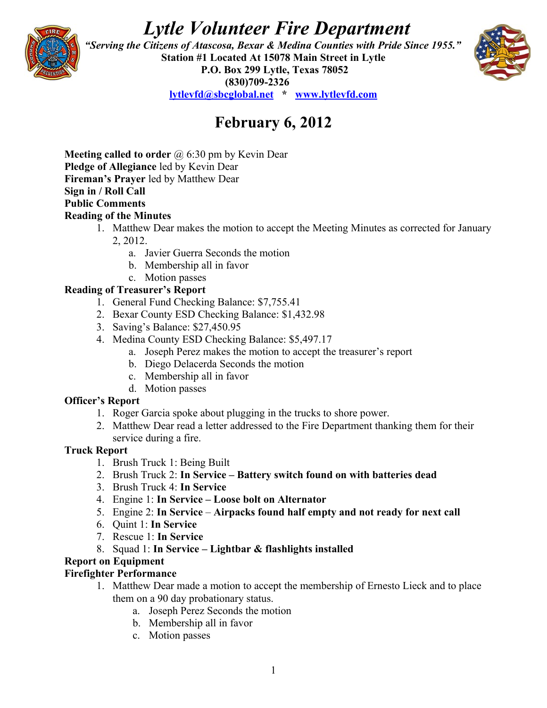# *Lytle Volunteer Fire Department*



 *"Serving the Citizens of Atascosa, Bexar & Medina Counties with Pride Since 1955."*  **Station #1 Located At 15078 Main Street in Lytle P.O. Box 299 Lytle, Texas 78052 (830)709-2326 [lytlevfd@sbcglobal.net](mailto:lytlevfd@sbcglobal.net) \* [www.lytlevfd.com](http://www.lytlevfd.com/)**



# **February 6, 2012**

**Meeting called to order** @ 6:30 pm by Kevin Dear **Pledge of Allegiance** led by Kevin Dear **Fireman's Prayer** led by Matthew Dear **Sign in / Roll Call Public Comments Reading of the Minutes**

- 1. Matthew Dear makes the motion to accept the Meeting Minutes as corrected for January 2, 2012.
	- a. Javier Guerra Seconds the motion
	- b. Membership all in favor
- c. Motion passes

# **Reading of Treasurer's Report**

- 1. General Fund Checking Balance: \$7,755.41
- 2. Bexar County ESD Checking Balance: \$1,432.98
- 3. Saving's Balance: \$27,450.95
- 4. Medina County ESD Checking Balance: \$5,497.17
	- a. Joseph Perez makes the motion to accept the treasurer's report
	- b. Diego Delacerda Seconds the motion
	- c. Membership all in favor
	- d. Motion passes

#### **Officer's Report**

- 1. Roger Garcia spoke about plugging in the trucks to shore power.
- 2. Matthew Dear read a letter addressed to the Fire Department thanking them for their service during a fire.

#### **Truck Report**

- 1. Brush Truck 1: Being Built
- 2. Brush Truck 2: **In Service – Battery switch found on with batteries dead**
- 3. Brush Truck 4: **In Service**
- 4. Engine 1: **In Service Loose bolt on Alternator**
- 5. Engine 2: **In Service Airpacks found half empty and not ready for next call**
- 6. Quint 1: **In Service**
- 7. Rescue 1: **In Service**
- 8. Squad 1: **In Service Lightbar & flashlights installed**

### **Report on Equipment**

#### **Firefighter Performance**

- 1. Matthew Dear made a motion to accept the membership of Ernesto Lieck and to place them on a 90 day probationary status.
	- a. Joseph Perez Seconds the motion
	- b. Membership all in favor
	- c. Motion passes